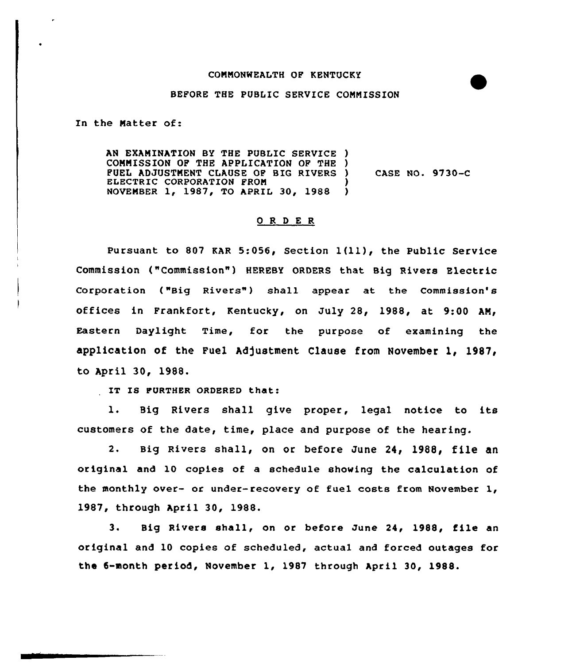## CONNONNEALTH OP KENTUCKY

## BEFORE THE PUBLIC SERVICE CONNISSION

In the Natter of:

AN EXANINATION BY THE PUBLIC SERVICE ) COMMISSION OF THE APPLICATION OF THE ) PUEL ADJUSTNENT CLAUSE OP BIG RIVERS ) ELECTRIC CORPORATION FROM NOVEMBER 1, 1987, TO APRIL 30, 1988 ) CASE NO. 9730-C

## 0 R <sup>D</sup> E R

Pursuant to 807 KAR 5:056, Section 1(ll)» the Public Service Commission ("Commission") HEREBY ORDERS that Big Rivers Electric Corporation ("Big Rivers") shall appear at the Commission's offices in Frankfort, Kentucky, on July 28, 1988, at 9:00 AM, Eastern Daylight Time, for the purpose of examining the application of the Fuel Adjustment Clause from November 1, 1987, to April 30, 1988.

IT IS FURTHER ORDERED that:

l. Big Rivers shall give proper, legal notice to its customers of the date, time, place and purpose of the hearing.

2. Big Rivers shall, on or before June 24, 1988, file an original and 10 copies of a schedule showing the calculation of the monthly over- or under-recovery of fuel costs from November 1, 1987, through April 30, 1988.

3. Big Rivers shall, on or before June 24, 1988, file an original and 10 copies of scheduled, actual and forced outages for the 6-month period, November 1, 1987 through April 30, 1988.